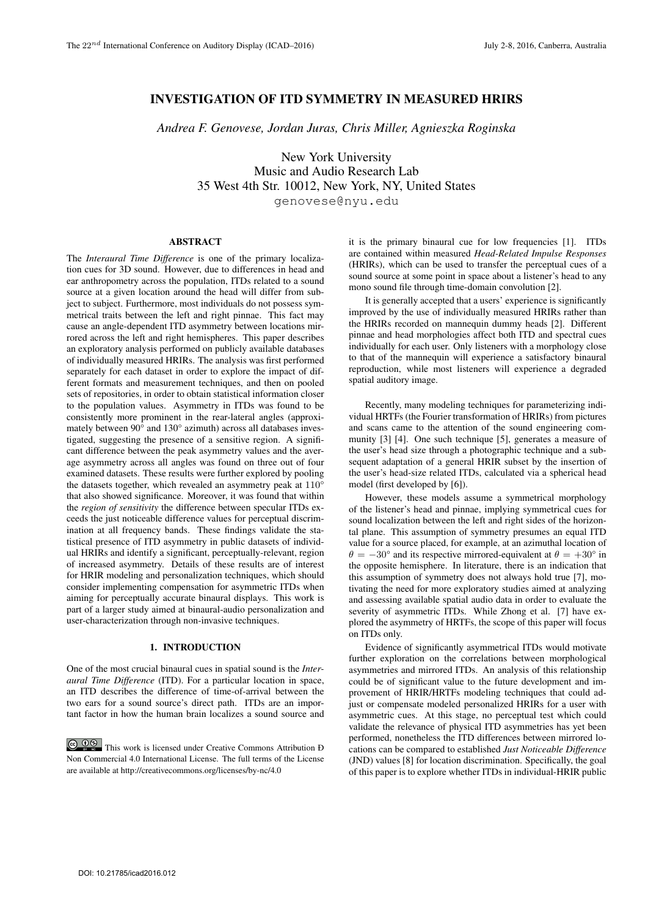# INVESTIGATION OF ITD SYMMETRY IN MEASURED HRIRS

*Andrea F. Genovese, Jordan Juras, Chris Miller, Agnieszka Roginska*

New York University Music and Audio Research Lab 35 West 4th Str. 10012, New York, NY, United States genovese@nyu.edu

## ABSTRACT

The *Interaural Time Difference* is one of the primary localization cues for 3D sound. However, due to differences in head and ear anthropometry across the population, ITDs related to a sound source at a given location around the head will differ from subject to subject. Furthermore, most individuals do not possess symmetrical traits between the left and right pinnae. This fact may cause an angle-dependent ITD asymmetry between locations mirrored across the left and right hemispheres. This paper describes an exploratory analysis performed on publicly available databases of individually measured HRIRs. The analysis was first performed separately for each dataset in order to explore the impact of different formats and measurement techniques, and then on pooled sets of repositories, in order to obtain statistical information closer to the population values. Asymmetry in ITDs was found to be consistently more prominent in the rear-lateral angles (approximately between 90° and 130° azimuth) across all databases investigated, suggesting the presence of a sensitive region. A significant difference between the peak asymmetry values and the average asymmetry across all angles was found on three out of four examined datasets. These results were further explored by pooling the datasets together, which revealed an asymmetry peak at 110° that also showed significance. Moreover, it was found that within the *region of sensitivity* the difference between specular ITDs exceeds the just noticeable difference values for perceptual discrimination at all frequency bands. These findings validate the statistical presence of ITD asymmetry in public datasets of individual HRIRs and identify a significant, perceptually-relevant, region of increased asymmetry. Details of these results are of interest for HRIR modeling and personalization techniques, which should consider implementing compensation for asymmetric ITDs when aiming for perceptually accurate binaural displays. This work is part of a larger study aimed at binaural-audio personalization and user-characterization through non-invasive techniques.

# 1. INTRODUCTION

One of the most crucial binaural cues in spatial sound is the *Interaural Time Difference* (ITD). For a particular location in space, an ITD describes the difference of time-of-arrival between the two ears for a sound source's direct path. ITDs are an important factor in how the human brain localizes a sound source and

**CO**  $\bullet$  **This work is licensed under Creative Commons Attribution Đ** Non Commercial 4.0 International License. The full terms of the License are available at http://creativecommons.org/licenses/by-nc/4.0

it is the primary binaural cue for low frequencies [1]. ITDs are contained within measured *Head-Related Impulse Responses* (HRIRs), which can be used to transfer the perceptual cues of a sound source at some point in space about a listener's head to any mono sound file through time-domain convolution [2].

It is generally accepted that a users' experience is significantly improved by the use of individually measured HRIRs rather than the HRIRs recorded on mannequin dummy heads [2]. Different pinnae and head morphologies affect both ITD and spectral cues individually for each user. Only listeners with a morphology close to that of the mannequin will experience a satisfactory binaural reproduction, while most listeners will experience a degraded spatial auditory image.

Recently, many modeling techniques for parameterizing individual HRTFs (the Fourier transformation of HRIRs) from pictures and scans came to the attention of the sound engineering community [3] [4]. One such technique [5], generates a measure of the user's head size through a photographic technique and a subsequent adaptation of a general HRIR subset by the insertion of the user's head-size related ITDs, calculated via a spherical head model (first developed by [6]).

However, these models assume a symmetrical morphology of the listener's head and pinnae, implying symmetrical cues for sound localization between the left and right sides of the horizontal plane. This assumption of symmetry presumes an equal ITD value for a source placed, for example, at an azimuthal location of  $\theta = -30^{\circ}$  and its respective mirrored-equivalent at  $\theta = +30^{\circ}$  in the opposite hemisphere. In literature, there is an indication that this assumption of symmetry does not always hold true [7], motivating the need for more exploratory studies aimed at analyzing and assessing available spatial audio data in order to evaluate the severity of asymmetric ITDs. While Zhong et al. [7] have explored the asymmetry of HRTFs, the scope of this paper will focus on ITDs only.

Evidence of significantly asymmetrical ITDs would motivate further exploration on the correlations between morphological asymmetries and mirrored ITDs. An analysis of this relationship could be of significant value to the future development and improvement of HRIR/HRTFs modeling techniques that could adjust or compensate modeled personalized HRIRs for a user with asymmetric cues. At this stage, no perceptual test which could validate the relevance of physical ITD asymmetries has yet been performed, nonetheless the ITD differences between mirrored locations can be compared to established *Just Noticeable Difference* (JND) values [8] for location discrimination. Specifically, the goal of this paper is to explore whether ITDs in individual-HRIR public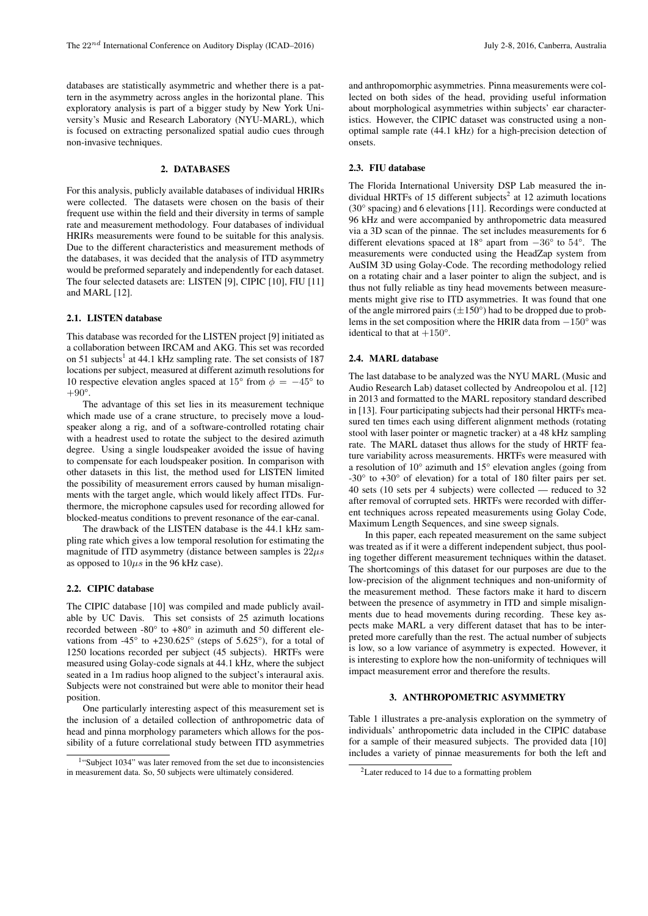databases are statistically asymmetric and whether there is a pattern in the asymmetry across angles in the horizontal plane. This exploratory analysis is part of a bigger study by New York University's Music and Research Laboratory (NYU-MARL), which is focused on extracting personalized spatial audio cues through non-invasive techniques.

#### 2. DATABASES

For this analysis, publicly available databases of individual HRIRs were collected. The datasets were chosen on the basis of their frequent use within the field and their diversity in terms of sample rate and measurement methodology. Four databases of individual HRIRs measurements were found to be suitable for this analysis. Due to the different characteristics and measurement methods of the databases, it was decided that the analysis of ITD asymmetry would be preformed separately and independently for each dataset. The four selected datasets are: LISTEN [9], CIPIC [10], FIU [11] and MARL [12].

# 2.1. LISTEN database

This database was recorded for the LISTEN project [9] initiated as a collaboration between IRCAM and AKG. This set was recorded on 51 subjects<sup>1</sup> at 44.1 kHz sampling rate. The set consists of 187 locations per subject, measured at different azimuth resolutions for 10 respective elevation angles spaced at 15° from  $\phi = -45^{\circ}$  to  $+90^\circ$ .

The advantage of this set lies in its measurement technique which made use of a crane structure, to precisely move a loudspeaker along a rig, and of a software-controlled rotating chair with a headrest used to rotate the subject to the desired azimuth degree. Using a single loudspeaker avoided the issue of having to compensate for each loudspeaker position. In comparison with other datasets in this list, the method used for LISTEN limited the possibility of measurement errors caused by human misalignments with the target angle, which would likely affect ITDs. Furthermore, the microphone capsules used for recording allowed for blocked-meatus conditions to prevent resonance of the ear-canal.

The drawback of the LISTEN database is the 44.1 kHz sampling rate which gives a low temporal resolution for estimating the magnitude of ITD asymmetry (distance between samples is  $22\mu s$ as opposed to  $10\mu s$  in the 96 kHz case).

# 2.2. CIPIC database

The CIPIC database [10] was compiled and made publicly available by UC Davis. This set consists of 25 azimuth locations recorded between -80° to +80° in azimuth and 50 different elevations from  $-45^{\circ}$  to  $+230.625^{\circ}$  (steps of 5.625°), for a total of 1250 locations recorded per subject (45 subjects). HRTFs were measured using Golay-code signals at 44.1 kHz, where the subject seated in a 1m radius hoop aligned to the subject's interaural axis. Subjects were not constrained but were able to monitor their head position.

One particularly interesting aspect of this measurement set is the inclusion of a detailed collection of anthropometric data of head and pinna morphology parameters which allows for the possibility of a future correlational study between ITD asymmetries

and anthropomorphic asymmetries. Pinna measurements were collected on both sides of the head, providing useful information about morphological asymmetries within subjects' ear characteristics. However, the CIPIC dataset was constructed using a nonoptimal sample rate (44.1 kHz) for a high-precision detection of onsets.

#### 2.3. FIU database

The Florida International University DSP Lab measured the individual HRTFs of 15 different subjects<sup>2</sup> at 12 azimuth locations (30° spacing) and 6 elevations [11]. Recordings were conducted at 96 kHz and were accompanied by anthropometric data measured via a 3D scan of the pinnae. The set includes measurements for 6 different elevations spaced at 18° apart from −36° to 54°. The measurements were conducted using the HeadZap system from AuSIM 3D using Golay-Code. The recording methodology relied on a rotating chair and a laser pointer to align the subject, and is thus not fully reliable as tiny head movements between measurements might give rise to ITD asymmetries. It was found that one of the angle mirrored pairs  $(\pm 150^\circ)$  had to be dropped due to problems in the set composition where the HRIR data from  $-150^{\circ}$  was identical to that at  $+150^{\circ}$ .

### 2.4. MARL database

The last database to be analyzed was the NYU MARL (Music and Audio Research Lab) dataset collected by Andreopolou et al. [12] in 2013 and formatted to the MARL repository standard described in [13]. Four participating subjects had their personal HRTFs measured ten times each using different alignment methods (rotating stool with laser pointer or magnetic tracker) at a 48 kHz sampling rate. The MARL dataset thus allows for the study of HRTF feature variability across measurements. HRTFs were measured with a resolution of 10° azimuth and 15° elevation angles (going from -30° to +30° of elevation) for a total of 180 filter pairs per set. 40 sets (10 sets per 4 subjects) were collected — reduced to 32 after removal of corrupted sets. HRTFs were recorded with different techniques across repeated measurements using Golay Code, Maximum Length Sequences, and sine sweep signals.

In this paper, each repeated measurement on the same subject was treated as if it were a different independent subject, thus pooling together different measurement techniques within the dataset. The shortcomings of this dataset for our purposes are due to the low-precision of the alignment techniques and non-uniformity of the measurement method. These factors make it hard to discern between the presence of asymmetry in ITD and simple misalignments due to head movements during recording. These key aspects make MARL a very different dataset that has to be interpreted more carefully than the rest. The actual number of subjects is low, so a low variance of asymmetry is expected. However, it is interesting to explore how the non-uniformity of techniques will impact measurement error and therefore the results.

# 3. ANTHROPOMETRIC ASYMMETRY

Table 1 illustrates a pre-analysis exploration on the symmetry of individuals' anthropometric data included in the CIPIC database for a sample of their measured subjects. The provided data [10] includes a variety of pinnae measurements for both the left and

<sup>&</sup>lt;sup>1</sup>"Subject 1034" was later removed from the set due to inconsistencies in measurement data. So, 50 subjects were ultimately considered.

<sup>2</sup>Later reduced to 14 due to a formatting problem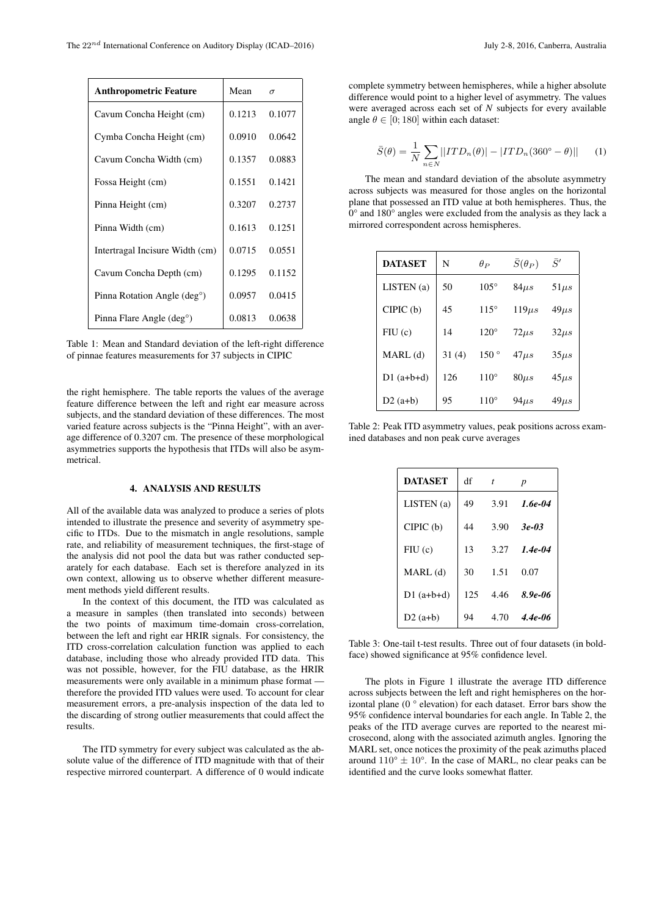| <b>Anthropometric Feature</b>            | Mean   | $\sigma$ |  |
|------------------------------------------|--------|----------|--|
| Cavum Concha Height (cm)                 | 0.1213 | 0.1077   |  |
| Cymba Concha Height (cm)                 | 0.0910 | 0.0642   |  |
| Cavum Concha Width (cm)                  | 0.1357 | 0.0883   |  |
| Fossa Height (cm)                        | 0.1551 | 0.1421   |  |
| Pinna Height (cm)                        | 0.3207 | 0.2737   |  |
| Pinna Width (cm)                         | 0.1613 | 0.1251   |  |
| Intertragal Incisure Width (cm)          | 0.0715 | 0.0551   |  |
| Cavum Concha Depth (cm)                  | 0.1295 | 0.1152   |  |
| Pinna Rotation Angle (deg <sup>o</sup> ) | 0.0957 | 0.0415   |  |
| Pinna Flare Angle (deg <sup>o</sup> )    | 0.0813 | 0.0638   |  |

Table 1: Mean and Standard deviation of the left-right difference of pinnae features measurements for 37 subjects in CIPIC

the right hemisphere. The table reports the values of the average feature difference between the left and right ear measure across subjects, and the standard deviation of these differences. The most varied feature across subjects is the "Pinna Height", with an average difference of 0.3207 cm. The presence of these morphological asymmetries supports the hypothesis that ITDs will also be asymmetrical.

## 4. ANALYSIS AND RESULTS

All of the available data was analyzed to produce a series of plots intended to illustrate the presence and severity of asymmetry specific to ITDs. Due to the mismatch in angle resolutions, sample rate, and reliability of measurement techniques, the first-stage of the analysis did not pool the data but was rather conducted separately for each database. Each set is therefore analyzed in its own context, allowing us to observe whether different measurement methods yield different results.

In the context of this document, the ITD was calculated as a measure in samples (then translated into seconds) between the two points of maximum time-domain cross-correlation, between the left and right ear HRIR signals. For consistency, the ITD cross-correlation calculation function was applied to each database, including those who already provided ITD data. This was not possible, however, for the FIU database, as the HRIR measurements were only available in a minimum phase format therefore the provided ITD values were used. To account for clear measurement errors, a pre-analysis inspection of the data led to the discarding of strong outlier measurements that could affect the results.

The ITD symmetry for every subject was calculated as the absolute value of the difference of ITD magnitude with that of their respective mirrored counterpart. A difference of 0 would indicate complete symmetry between hemispheres, while a higher absolute difference would point to a higher level of asymmetry. The values were averaged across each set of *N* subjects for every available angle  $\theta \in [0; 180]$  within each dataset:

$$
\bar{S}(\theta) = \frac{1}{N} \sum_{n \in N} ||ITD_n(\theta)| - |ITD_n(360^\circ - \theta)|| \qquad (1)
$$

The mean and standard deviation of the absolute asymmetry across subjects was measured for those angles on the horizontal plane that possessed an ITD value at both hemispheres. Thus, the 0° and 180° angles were excluded from the analysis as they lack a mirrored correspondent across hemispheres.

| <b>DATASET</b> | N     | $\theta_P$    | $\bar{S}(\theta_P)$ | $\bar{S}'$ |
|----------------|-------|---------------|---------------------|------------|
| LISTEN(a)      | 50    | $105^\circ$   | $84\mu s$           | $51\mu s$  |
| CIPIC(b)       | 45    | $115^\circ$   | $119\mu s$          | $49\mu s$  |
| FIU(c)         | 14    | $120^\circ$   | $72\mu s$           | $32\mu s$  |
| MARL (d)       | 31(4) | $150^{\circ}$ | $47 \mu s$          | $35\mu s$  |
| $D1$ (a+b+d)   | 126   | $110^\circ$   | $80\mu s$           | $45 \mu s$ |
| $D2(a+b)$      | 95    | $110^\circ$   | $94\mu s$           | $49\mu s$  |

Table 2: Peak ITD asymmetry values, peak positions across examined databases and non peak curve averages

| <b>DATASET</b> | df  | t    | $\boldsymbol{p}$ |
|----------------|-----|------|------------------|
| LISTEN (a)     | 49  | 3.91 | 1.6e-04          |
| CIPIC(b)       | 44  | 3.90 | $3e-03$          |
| FIU(c)         | 13  | 3.27 | $1.4e-04$        |
| $MARL$ (d)     | 30  | 1.51 | 0.07             |
| $D1(a+b+d)$    | 125 | 4.46 | $8.9e - 06$      |
| $D2(a+b)$      | 94  | 4.70 | $4.4e-06$        |

Table 3: One-tail t-test results. Three out of four datasets (in boldface) showed significance at 95% confidence level.

The plots in Figure 1 illustrate the average ITD difference across subjects between the left and right hemispheres on the horizontal plane (0 ° elevation) for each dataset. Error bars show the 95% confidence interval boundaries for each angle. In Table 2, the peaks of the ITD average curves are reported to the nearest microsecond, along with the associated azimuth angles. Ignoring the MARL set, once notices the proximity of the peak azimuths placed around  $110^{\circ} \pm 10^{\circ}$ . In the case of MARL, no clear peaks can be identified and the curve looks somewhat flatter.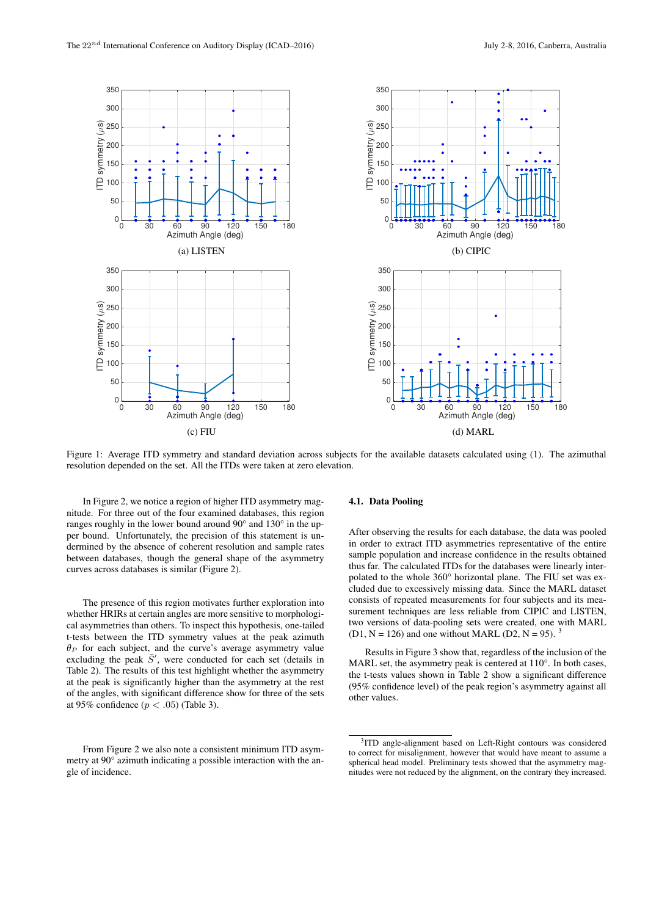

Figure 1: Average ITD symmetry and standard deviation across subjects for the available datasets calculated using (1). The azimuthal resolution depended on the set. All the ITDs were taken at zero elevation.

In Figure 2, we notice a region of higher ITD asymmetry magnitude. For three out of the four examined databases, this region ranges roughly in the lower bound around 90° and 130° in the upper bound. Unfortunately, the precision of this statement is undermined by the absence of coherent resolution and sample rates between databases, though the general shape of the asymmetry curves across databases is similar (Figure 2).

The presence of this region motivates further exploration into whether HRIRs at certain angles are more sensitive to morphological asymmetries than others. To inspect this hypothesis, one-tailed t-tests between the ITD symmetry values at the peak azimuth  $\theta_P$  for each subject, and the curve's average asymmetry value excluding the peak  $\bar{S}'$ , were conducted for each set (details in Table 2). The results of this test highlight whether the asymmetry at the peak is significantly higher than the asymmetry at the rest of the angles, with significant difference show for three of the sets at 95% confidence ( $p < .05$ ) (Table 3).

### From Figure 2 we also note a consistent minimum ITD asymmetry at 90° azimuth indicating a possible interaction with the angle of incidence.

### 4.1. Data Pooling

After observing the results for each database, the data was pooled in order to extract ITD asymmetries representative of the entire sample population and increase confidence in the results obtained thus far. The calculated ITDs for the databases were linearly interpolated to the whole 360° horizontal plane. The FIU set was excluded due to excessively missing data. Since the MARL dataset consists of repeated measurements for four subjects and its measurement techniques are less reliable from CIPIC and LISTEN, two versions of data-pooling sets were created, one with MARL  $(D1, N = 126)$  and one without MARL  $(D2, N = 95)$ .

Results in Figure 3 show that, regardless of the inclusion of the MARL set, the asymmetry peak is centered at 110°. In both cases, the t-tests values shown in Table 2 show a significant difference (95% confidence level) of the peak region's asymmetry against all other values.

<sup>&</sup>lt;sup>3</sup>ITD angle-alignment based on Left-Right contours was considered to correct for misalignment, however that would have meant to assume a spherical head model. Preliminary tests showed that the asymmetry magnitudes were not reduced by the alignment, on the contrary they increased.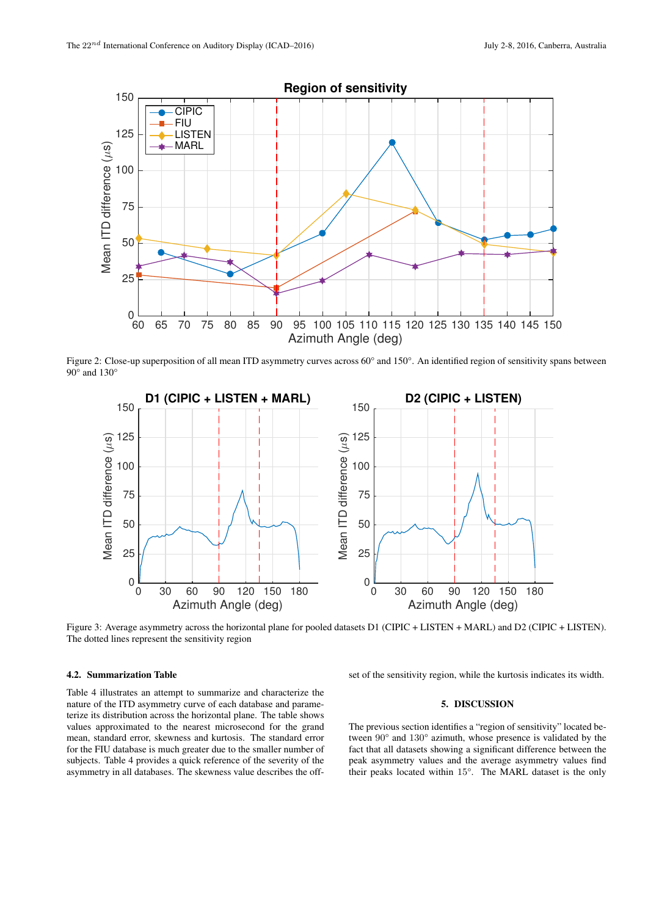

Figure 2: Close-up superposition of all mean ITD asymmetry curves across 60° and 150°. An identified region of sensitivity spans between 90° and 130°



Figure 3: Average asymmetry across the horizontal plane for pooled datasets D1 (CIPIC + LISTEN + MARL) and D2 (CIPIC + LISTEN). The dotted lines represent the sensitivity region

# 4.2. Summarization Table

Table 4 illustrates an attempt to summarize and characterize the nature of the ITD asymmetry curve of each database and parameterize its distribution across the horizontal plane. The table shows values approximated to the nearest microsecond for the grand mean, standard error, skewness and kurtosis. The standard error for the FIU database is much greater due to the smaller number of subjects. Table 4 provides a quick reference of the severity of the asymmetry in all databases. The skewness value describes the offset of the sensitivity region, while the kurtosis indicates its width.

# 5. DISCUSSION

The previous section identifies a "region of sensitivity" located between 90° and 130° azimuth, whose presence is validated by the fact that all datasets showing a significant difference between the peak asymmetry values and the average asymmetry values find their peaks located within 15°. The MARL dataset is the only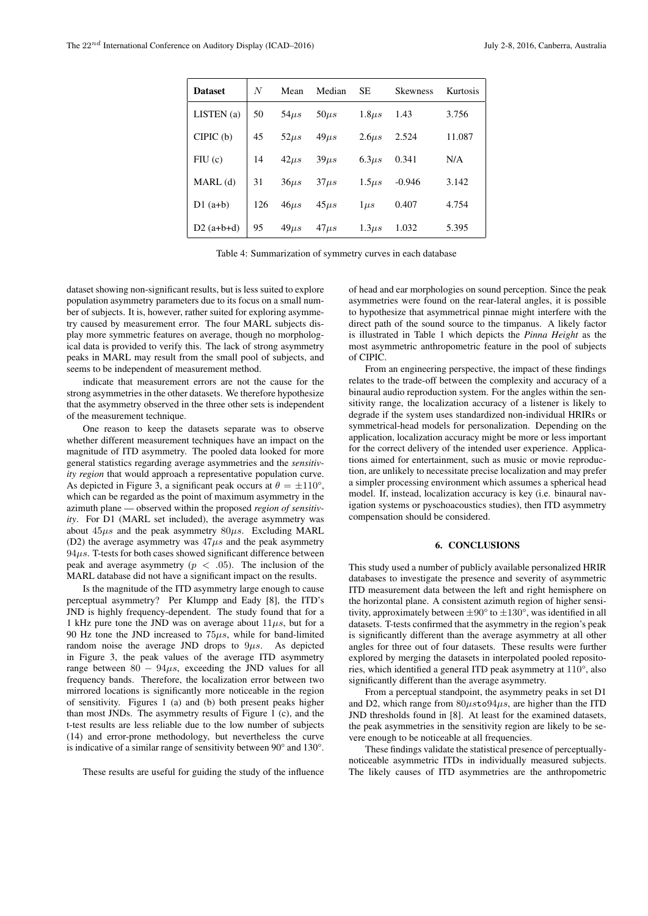| <b>Dataset</b> | N   | Mean      | Median     | SE.         | <b>Skewness</b> | Kurtosis |
|----------------|-----|-----------|------------|-------------|-----------------|----------|
| LISTEN(a)      | 50  | $54\mu s$ | $50\mu s$  | $1.8 \mu s$ | 1.43            | 3.756    |
| CIPIC(b)       | 45  | $52\mu s$ | $49\mu s$  | $2.6\mu s$  | 2.524           | 11.087   |
| FIU(c)         | 14  | $42\mu s$ | $39\mu s$  | $6.3\mu s$  | 0.341           | N/A      |
| MARL(d)        | 31  | $36\mu s$ | $37\mu s$  | $1.5 \mu s$ | $-0.946$        | 3.142    |
| $D1$ (a+b)     | 126 | $46\mu s$ | $45\mu s$  | $1 \mu s$   | 0.407           | 4.754    |
| $D2(a+b+d)$    | 95  | $49\mu s$ | $47 \mu s$ | $1.3 \mu s$ | 1.032           | 5.395    |

Table 4: Summarization of symmetry curves in each database

dataset showing non-significant results, but is less suited to explore population asymmetry parameters due to its focus on a small number of subjects. It is, however, rather suited for exploring asymmetry caused by measurement error. The four MARL subjects display more symmetric features on average, though no morphological data is provided to verify this. The lack of strong asymmetry peaks in MARL may result from the small pool of subjects, and seems to be independent of measurement method.

indicate that measurement errors are not the cause for the strong asymmetries in the other datasets. We therefore hypothesize that the asymmetry observed in the three other sets is independent of the measurement technique.

One reason to keep the datasets separate was to observe whether different measurement techniques have an impact on the magnitude of ITD asymmetry. The pooled data looked for more general statistics regarding average asymmetries and the *sensitivity region* that would approach a representative population curve. As depicted in Figure 3, a significant peak occurs at  $\theta = \pm 110^{\circ}$ , which can be regarded as the point of maximum asymmetry in the azimuth plane — observed within the proposed *region of sensitivity*. For D1 (MARL set included), the average asymmetry was about  $45\mu s$  and the peak asymmetry  $80\mu s$ . Excluding MARL (D2) the average asymmetry was  $47\mu s$  and the peak asymmetry  $94\mu s$ . T-tests for both cases showed significant difference between peak and average asymmetry ( $p < .05$ ). The inclusion of the MARL database did not have a significant impact on the results.

Is the magnitude of the ITD asymmetry large enough to cause perceptual asymmetry? Per Klumpp and Eady [8], the ITD's JND is highly frequency-dependent. The study found that for a 1 kHz pure tone the JND was on average about  $11\mu s$ , but for a 90 Hz tone the JND increased to  $75\mu s$ , while for band-limited random noise the average JND drops to  $9\mu s$ . As depicted in Figure 3, the peak values of the average ITD asymmetry range between  $80 - 94\mu s$ , exceeding the JND values for all frequency bands. Therefore, the localization error between two mirrored locations is significantly more noticeable in the region of sensitivity. Figures 1 (a) and (b) both present peaks higher than most JNDs. The asymmetry results of Figure 1 (c), and the t-test results are less reliable due to the low number of subjects (14) and error-prone methodology, but nevertheless the curve is indicative of a similar range of sensitivity between 90° and 130°.

These results are useful for guiding the study of the influence

of head and ear morphologies on sound perception. Since the peak asymmetries were found on the rear-lateral angles, it is possible to hypothesize that asymmetrical pinnae might interfere with the direct path of the sound source to the timpanus. A likely factor is illustrated in Table 1 which depicts the *Pinna Height* as the most asymmetric anthropometric feature in the pool of subjects of CIPIC.

From an engineering perspective, the impact of these findings relates to the trade-off between the complexity and accuracy of a binaural audio reproduction system. For the angles within the sensitivity range, the localization accuracy of a listener is likely to degrade if the system uses standardized non-individual HRIRs or symmetrical-head models for personalization. Depending on the application, localization accuracy might be more or less important for the correct delivery of the intended user experience. Applications aimed for entertainment, such as music or movie reproduction, are unlikely to necessitate precise localization and may prefer a simpler processing environment which assumes a spherical head model. If, instead, localization accuracy is key (i.e. binaural navigation systems or pyschoacoustics studies), then ITD asymmetry compensation should be considered.

### 6. CONCLUSIONS

This study used a number of publicly available personalized HRIR databases to investigate the presence and severity of asymmetric ITD measurement data between the left and right hemisphere on the horizontal plane. A consistent azimuth region of higher sensitivity, approximately between  $\pm 90^\circ$  to  $\pm 130^\circ$ , was identified in all datasets. T-tests confirmed that the asymmetry in the region's peak is significantly different than the average asymmetry at all other angles for three out of four datasets. These results were further explored by merging the datasets in interpolated pooled repositories, which identified a general ITD peak asymmetry at 110°, also significantly different than the average asymmetry.

From a perceptual standpoint, the asymmetry peaks in set D1 and D2, which range from  $80\mu s$ to $94\mu s$ , are higher than the ITD JND thresholds found in [8]. At least for the examined datasets, the peak asymmetries in the sensitivity region are likely to be severe enough to be noticeable at all frequencies.

These findings validate the statistical presence of perceptuallynoticeable asymmetric ITDs in individually measured subjects. The likely causes of ITD asymmetries are the anthropometric